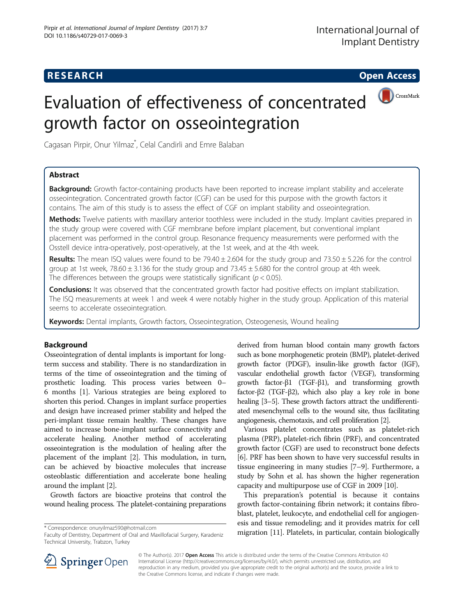## **RESEARCH CHILD CONTROL** CONTROL CONTROL CONTROL CONTROL CONTROL CONTROL CONTROL CONTROL CONTROL CONTROL CONTROL CONTROL CONTROL CONTROL CONTROL CONTROL CONTROL CONTROL CONTROL CONTROL CONTROL CONTROL CONTROL CONTROL CONTR



# Evaluation of effectiveness of concentrated growth factor on osseointegration

Cagasan Pirpir, Onur Yilmaz\* , Celal Candirli and Emre Balaban

### Abstract

Background: Growth factor-containing products have been reported to increase implant stability and accelerate osseointegration. Concentrated growth factor (CGF) can be used for this purpose with the growth factors it contains. The aim of this study is to assess the effect of CGF on implant stability and osseointegration.

Methods: Twelve patients with maxillary anterior toothless were included in the study. Implant cavities prepared in the study group were covered with CGF membrane before implant placement, but conventional implant placement was performed in the control group. Resonance frequency measurements were performed with the Osstell device intra-operatively, post-operatively, at the 1st week, and at the 4th week.

Results: The mean ISQ values were found to be  $79.40 \pm 2.604$  for the study group and  $73.50 \pm 5.226$  for the control group at 1st week, 78.60  $\pm$  3.136 for the study group and 73.45  $\pm$  5.680 for the control group at 4th week. The differences between the groups were statistically significant ( $p < 0.05$ ).

**Conclusions:** It was observed that the concentrated growth factor had positive effects on implant stabilization. The ISQ measurements at week 1 and week 4 were notably higher in the study group. Application of this material seems to accelerate osseointegration.

Keywords: Dental implants, Growth factors, Osseointegration, Osteogenesis, Wound healing

### Background

Osseointegration of dental implants is important for longterm success and stability. There is no standardization in terms of the time of osseointegration and the timing of prosthetic loading. This process varies between 0– 6 months [\[1](#page-5-0)]. Various strategies are being explored to shorten this period. Changes in implant surface properties and design have increased primer stability and helped the peri-implant tissue remain healthy. These changes have aimed to increase bone-implant surface connectivity and accelerate healing. Another method of accelerating osseointegration is the modulation of healing after the placement of the implant [\[2\]](#page-5-0). This modulation, in turn, can be achieved by bioactive molecules that increase osteoblastic differentiation and accelerate bone healing around the implant [[2\]](#page-5-0).

Growth factors are bioactive proteins that control the wound healing process. The platelet-containing preparations

Faculty of Dentistry, Department of Oral and Maxillofacial Surgery, Karadeniz Technical University, Trabzon, Turkey

derived from human blood contain many growth factors such as bone morphogenetic protein (BMP), platelet-derived growth factor (PDGF), insulin-like growth factor (IGF), vascular endothelial growth factor (VEGF), transforming growth factor-β1 (TGF-β1), and transforming growth factor-β2 (TGF-β2), which also play a key role in bone healing [\[3](#page-5-0)–[5](#page-5-0)]. These growth factors attract the undifferentiated mesenchymal cells to the wound site, thus facilitating angiogenesis, chemotaxis, and cell proliferation [[2](#page-5-0)].

Various platelet concentrates such as platelet-rich plasma (PRP), platelet-rich fibrin (PRF), and concentrated growth factor (CGF) are used to reconstruct bone defects [[6\]](#page-5-0). PRF has been shown to have very successful results in tissue engineering in many studies [\[7](#page-5-0)–[9](#page-5-0)]. Furthermore, a study by Sohn et al. has shown the higher regeneration capacity and multipurpose use of CGF in 2009 [\[10\]](#page-5-0).

This preparation's potential is because it contains growth factor-containing fibrin network; it contains fibroblast, platelet, leukocyte, and endothelial cell for angiogenesis and tissue remodeling; and it provides matrix for cell migration [\[11\]](#page-5-0). Platelets, in particular, contain biologically \* Correspondence: [onuryilmaz590@hotmail.com](mailto:onuryilmaz590@hotmail.com)



© The Author(s). 2017 **Open Access** This article is distributed under the terms of the Creative Commons Attribution 4.0 International License ([http://creativecommons.org/licenses/by/4.0/\)](http://creativecommons.org/licenses/by/4.0/), which permits unrestricted use, distribution, and reproduction in any medium, provided you give appropriate credit to the original author(s) and the source, provide a link to the Creative Commons license, and indicate if changes were made.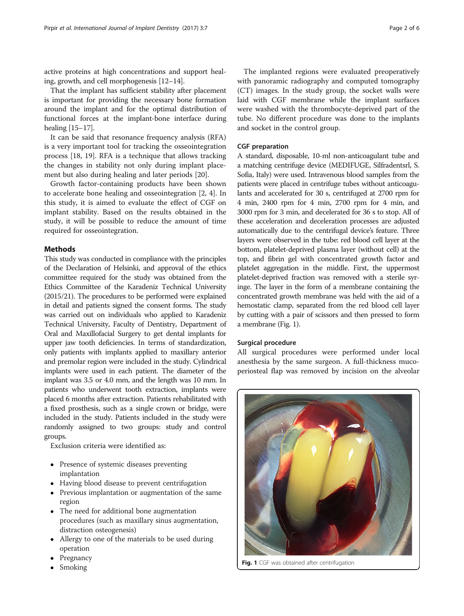active proteins at high concentrations and support healing, growth, and cell morphogenesis [[12](#page-5-0)–[14\]](#page-5-0).

That the implant has sufficient stability after placement is important for providing the necessary bone formation around the implant and for the optimal distribution of functional forces at the implant-bone interface during healing [\[15](#page-5-0)–[17](#page-5-0)].

It can be said that resonance frequency analysis (RFA) is a very important tool for tracking the osseointegration process [[18](#page-5-0), [19\]](#page-5-0). RFA is a technique that allows tracking the changes in stability not only during implant placement but also during healing and later periods [\[20](#page-5-0)].

Growth factor-containing products have been shown to accelerate bone healing and osseointegration [\[2](#page-5-0), [4](#page-5-0)]. In this study, it is aimed to evaluate the effect of CGF on implant stability. Based on the results obtained in the study, it will be possible to reduce the amount of time required for osseointegration.

#### **Methods**

This study was conducted in compliance with the principles of the Declaration of Helsinki, and approval of the ethics committee required for the study was obtained from the Ethics Committee of the Karadeniz Technical University (2015/21). The procedures to be performed were explained in detail and patients signed the consent forms. The study was carried out on individuals who applied to Karadeniz Technical University, Faculty of Dentistry, Department of Oral and Maxillofacial Surgery to get dental implants for upper jaw tooth deficiencies. In terms of standardization, only patients with implants applied to maxillary anterior and premolar region were included in the study. Cylindrical implants were used in each patient. The diameter of the implant was 3.5 or 4.0 mm, and the length was 10 mm. In patients who underwent tooth extraction, implants were placed 6 months after extraction. Patients rehabilitated with a fixed prosthesis, such as a single crown or bridge, were included in the study. Patients included in the study were randomly assigned to two groups: study and control groups.

Exclusion criteria were identified as:

- Presence of systemic diseases preventing implantation
- Having blood disease to prevent centrifugation
- Previous implantation or augmentation of the same region
- The need for additional bone augmentation procedures (such as maxillary sinus augmentation, distraction osteogenesis)
- Allergy to one of the materials to be used during operation
- Pregnancy
- Smoking

The implanted regions were evaluated preoperatively with panoramic radiography and computed tomography (CT) images. In the study group, the socket walls were laid with CGF membrane while the implant surfaces were washed with the thrombocyte-deprived part of the tube. No different procedure was done to the implants and socket in the control group.

#### CGF preparation

A standard, disposable, 10-ml non-anticoagulant tube and a matching centrifuge device (MEDIFUGE, Silfradentsrl, S. Sofia, Italy) were used. Intravenous blood samples from the patients were placed in centrifuge tubes without anticoagulants and accelerated for 30 s, centrifuged at 2700 rpm for 4 min, 2400 rpm for 4 min, 2700 rpm for 4 min, and 3000 rpm for 3 min, and decelerated for 36 s to stop. All of these acceleration and deceleration processes are adjusted automatically due to the centrifugal device's feature. Three layers were observed in the tube: red blood cell layer at the bottom, platelet-deprived plasma layer (without cell) at the top, and fibrin gel with concentrated growth factor and platelet aggregation in the middle. First, the uppermost platelet-deprived fraction was removed with a sterile syringe. The layer in the form of a membrane containing the concentrated growth membrane was held with the aid of a hemostatic clamp, separated from the red blood cell layer by cutting with a pair of scissors and then pressed to form a membrane (Fig. 1).

#### Surgical procedure

All surgical procedures were performed under local anesthesia by the same surgeon. A full-thickness mucoperiosteal flap was removed by incision on the alveolar



Fig. 1 CGF was obtained after centrifugation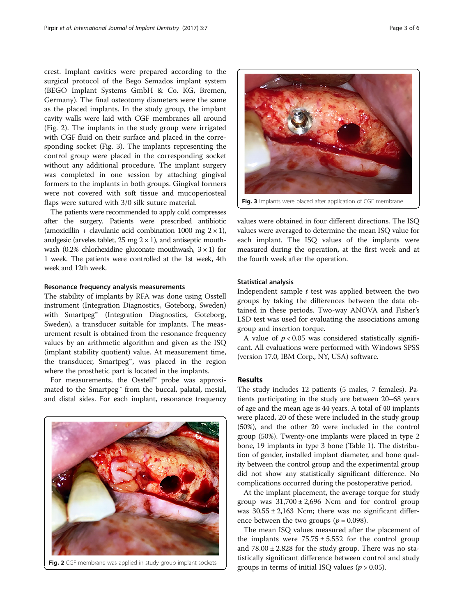crest. Implant cavities were prepared according to the surgical protocol of the Bego Semados implant system (BEGO Implant Systems GmbH & Co. KG, Bremen, Germany). The final osteotomy diameters were the same as the placed implants. In the study group, the implant cavity walls were laid with CGF membranes all around (Fig. 2). The implants in the study group were irrigated with CGF fluid on their surface and placed in the corresponding socket (Fig. 3). The implants representing the control group were placed in the corresponding socket without any additional procedure. The implant surgery was completed in one session by attaching gingival formers to the implants in both groups. Gingival formers were not covered with soft tissue and mucoperiosteal flaps were sutured with 3/0 silk suture material.

The patients were recommended to apply cold compresses after the surgery. Patients were prescribed antibiotic (amoxicillin + clavulanic acid combination 1000 mg  $2 \times 1$ ), analgesic (arveles tablet,  $25 \text{ mg } 2 \times 1$ ), and antiseptic mouthwash (0.2% chlorhexidine gluconate mouthwash,  $3 \times 1$ ) for 1 week. The patients were controlled at the 1st week, 4th week and 12th week.

#### Resonance frequency analysis measurements

The stability of implants by RFA was done using Osstell instrument (Integration Diagnostics, Goteborg, Sweden) with Smartpeg™ (Integration Diagnostics, Goteborg, Sweden), a transducer suitable for implants. The measurement result is obtained from the resonance frequency values by an arithmetic algorithm and given as the ISQ (implant stability quotient) value. At measurement time, the transducer, Smartpeg™, was placed in the region where the prosthetic part is located in the implants.

For measurements, the Osstell™ probe was approximated to the Smartpeg™ from the buccal, palatal, mesial, and distal sides. For each implant, resonance frequency





values were obtained in four different directions. The ISQ values were averaged to determine the mean ISQ value for each implant. The ISQ values of the implants were measured during the operation, at the first week and at the fourth week after the operation.

#### Statistical analysis

Independent sample  $t$  test was applied between the two groups by taking the differences between the data obtained in these periods. Two-way ANOVA and Fisher's LSD test was used for evaluating the associations among group and insertion torque.

A value of  $p < 0.05$  was considered statistically significant. All evaluations were performed with Windows SPSS (version 17.0, IBM Corp., NY, USA) software.

#### Results

The study includes 12 patients (5 males, 7 females). Patients participating in the study are between 20–68 years of age and the mean age is 44 years. A total of 40 implants were placed, 20 of these were included in the study group (50%), and the other 20 were included in the control group (50%). Twenty-one implants were placed in type 2 bone, 19 implants in type 3 bone (Table [1\)](#page-3-0). The distribution of gender, installed implant diameter, and bone quality between the control group and the experimental group did not show any statistically significant difference. No complications occurred during the postoperative period.

At the implant placement, the average torque for study group was  $31,700 \pm 2,696$  Ncm and for control group was  $30,55 \pm 2,163$  Ncm; there was no significant difference between the two groups ( $p = 0.098$ ).

The mean ISQ values measured after the placement of the implants were  $75.75 \pm 5.552$  for the control group and  $78.00 \pm 2.828$  for the study group. There was no statistically significant difference between control and study Fig. 2 CGF membrane was applied in study group implant sockets groups in terms of initial ISQ values  $(p > 0.05)$ .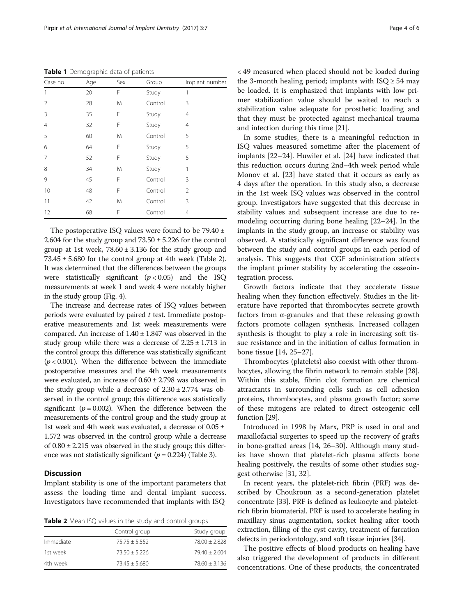<span id="page-3-0"></span>Table 1 Demographic data of patients

| Case no.       | Age | Sex | Group   | Implant number |
|----------------|-----|-----|---------|----------------|
| 1              | 20  | F   | Study   | 1              |
| 2              | 28  | Μ   | Control | 3              |
| 3              | 35  | F   | Study   | 4              |
| $\overline{4}$ | 32  | F   | Study   | 4              |
| 5              | 60  | M   | Control | 5              |
| 6              | 64  | F   | Study   | 5              |
| 7              | 52  | F   | Study   | 5              |
| 8              | 34  | M   | Study   | 1              |
| 9              | 45  | F   | Control | 3              |
| 10             | 48  | F   | Control | 2              |
| 11             | 42  | M   | Control | 3              |
| 12             | 68  | F   | Control | 4              |
|                |     |     |         |                |

The postoperative ISQ values were found to be 79.40 ± 2.604 for the study group and  $73.50 \pm 5.226$  for the control group at 1st week,  $78.60 \pm 3.136$  for the study group and  $73.45 \pm 5.680$  for the control group at 4th week (Table 2). It was determined that the differences between the groups were statistically significant  $(p < 0.05)$  and the ISQ measurements at week 1 and week 4 were notably higher in the study group (Fig. [4](#page-4-0)).

The increase and decrease rates of ISQ values between periods were evaluated by paired  $t$  test. Immediate postoperative measurements and 1st week measurements were compared. An increase of  $1.40 \pm 1.847$  was observed in the study group while there was a decrease of  $2.25 \pm 1.713$  in the control group; this difference was statistically significant  $(p < 0.001)$ . When the difference between the immediate postoperative measures and the 4th week measurements were evaluated, an increase of 0.60 ± 2.798 was observed in the study group while a decrease of  $2.30 \pm 2.774$  was observed in the control group; this difference was statistically significant ( $p = 0.002$ ). When the difference between the measurements of the control group and the study group at 1st week and 4th week was evaluated, a decrease of 0.05 ± 1.572 was observed in the control group while a decrease of  $0.80 \pm 2.215$  was observed in the study group; this difference was not statistically significant ( $p = 0.224$ ) (Table [3](#page-4-0)).

#### **Discussion**

Implant stability is one of the important parameters that assess the loading time and dental implant success. Investigators have recommended that implants with ISQ

Table 2 Mean ISQ values in the study and control groups

|           | Control group   | Study group       |
|-----------|-----------------|-------------------|
| Immediate | $75.75 + 5.552$ | $78.00 \pm 2.828$ |
| 1st week  | $73.50 + 5.226$ | $79.40 + 2.604$   |
| 4th week  | $73.45 + 5.680$ | $78.60 \pm 3.136$ |

< 49 measured when placed should not be loaded during the 3-month healing period; implants with  $ISQ \geq 54$  may be loaded. It is emphasized that implants with low primer stabilization value should be waited to reach a stabilization value adequate for prosthetic loading and that they must be protected against mechanical trauma and infection during this time [[21](#page-5-0)].

In some studies, there is a meaningful reduction in ISQ values measured sometime after the placement of implants [[22](#page-5-0)–[24](#page-5-0)]. Huwiler et al. [[24](#page-5-0)] have indicated that this reduction occurs during 2nd–4th week period while Monov et al. [[23\]](#page-5-0) have stated that it occurs as early as 4 days after the operation. In this study also, a decrease in the 1st week ISQ values was observed in the control group. Investigators have suggested that this decrease in stability values and subsequent increase are due to remodeling occurring during bone healing [\[22](#page-5-0)–[24\]](#page-5-0). In the implants in the study group, an increase or stability was observed. A statistically significant difference was found between the study and control groups in each period of analysis. This suggests that CGF administration affects the implant primer stability by accelerating the osseointegration process.

Growth factors indicate that they accelerate tissue healing when they function effectively. Studies in the literature have reported that thrombocytes secrete growth factors from α-granules and that these releasing growth factors promote collagen synthesis. Increased collagen synthesis is thought to play a role in increasing soft tissue resistance and in the initiation of callus formation in bone tissue [[14, 25](#page-5-0)–[27](#page-5-0)].

Thrombocytes (platelets) also coexist with other thrombocytes, allowing the fibrin network to remain stable [[28](#page-5-0)]. Within this stable, fibrin clot formation are chemical attractants in surrounding cells such as cell adhesion proteins, thrombocytes, and plasma growth factor; some of these mitogens are related to direct osteogenic cell function [\[29\]](#page-5-0).

Introduced in 1998 by Marx, PRP is used in oral and maxillofacial surgeries to speed up the recovery of grafts in bone-grafted areas [\[14](#page-5-0), [26](#page-5-0)–[30\]](#page-5-0). Although many studies have shown that platelet-rich plasma affects bone healing positively, the results of some other studies suggest otherwise [\[31, 32\]](#page-5-0).

In recent years, the platelet-rich fibrin (PRF) was described by Choukroun as a second-generation platelet concentrate [[33](#page-5-0)]. PRF is defined as leukocyte and plateletrich fibrin biomaterial. PRF is used to accelerate healing in maxillary sinus augmentation, socket healing after tooth extraction, filling of the cyst cavity, treatment of furcation defects in periodontology, and soft tissue injuries [[34](#page-5-0)].

The positive effects of blood products on healing have also triggered the development of products in different concentrations. One of these products, the concentrated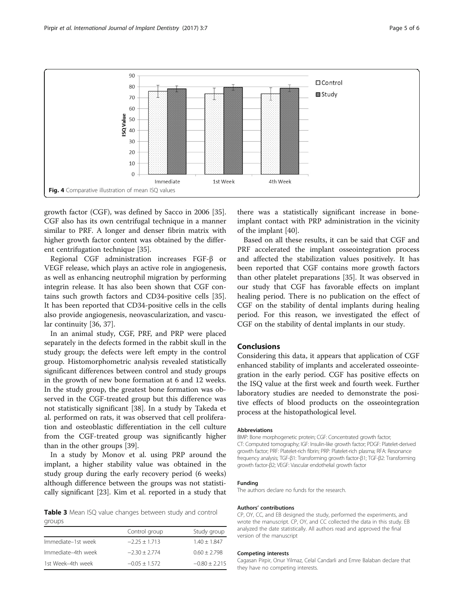<span id="page-4-0"></span>

growth factor (CGF), was defined by Sacco in 2006 [\[35](#page-5-0)]. CGF also has its own centrifugal technique in a manner similar to PRF. A longer and denser fibrin matrix with higher growth factor content was obtained by the different centrifugation technique [\[35\]](#page-5-0).

Regional CGF administration increases FGF-β or VEGF release, which plays an active role in angiogenesis, as well as enhancing neutrophil migration by performing integrin release. It has also been shown that CGF contains such growth factors and CD34-positive cells [\[35](#page-5-0)]. It has been reported that CD34-positive cells in the cells also provide angiogenesis, neovascularization, and vascular continuity [[36, 37\]](#page-5-0).

In an animal study, CGF, PRF, and PRP were placed separately in the defects formed in the rabbit skull in the study group; the defects were left empty in the control group. Histomorphometric analysis revealed statistically significant differences between control and study groups in the growth of new bone formation at 6 and 12 weeks. In the study group, the greatest bone formation was observed in the CGF-treated group but this difference was not statistically significant [[38\]](#page-5-0). In a study by Takeda et al. performed on rats, it was observed that cell proliferation and osteoblastic differentiation in the cell culture from the CGF-treated group was significantly higher than in the other groups [\[39](#page-5-0)].

In a study by Monov et al. using PRP around the implant, a higher stability value was obtained in the study group during the early recovery period (6 weeks) although difference between the groups was not statistically significant [\[23](#page-5-0)]. Kim et al. reported in a study that

Table 3 Mean ISQ value changes between study and control groups

|                    | Control group   | Study group       |
|--------------------|-----------------|-------------------|
| Immediate-1st week | $-2.25 + 1.713$ | $1.40 + 1.847$    |
| Immediate-4th week | $-2.30 + 2.774$ | $0.60 + 2.798$    |
| 1st Week-4th week  | $-0.05 + 1.572$ | $-0.80 \pm 2.215$ |

there was a statistically significant increase in boneimplant contact with PRP administration in the vicinity of the implant [\[40\]](#page-5-0).

Based on all these results, it can be said that CGF and PRF accelerated the implant osseointegration process and affected the stabilization values positively. It has been reported that CGF contains more growth factors than other platelet preparations [\[35\]](#page-5-0). It was observed in our study that CGF has favorable effects on implant healing period. There is no publication on the effect of CGF on the stability of dental implants during healing period. For this reason, we investigated the effect of CGF on the stability of dental implants in our study.

#### Conclusions

Considering this data, it appears that application of CGF enhanced stability of implants and accelerated osseointegration in the early period. CGF has positive effects on the ISQ value at the first week and fourth week. Further laboratory studies are needed to demonstrate the positive effects of blood products on the osseointegration process at the histopathological level.

#### Abbreviations

BMP: Bone morphogenetic protein; CGF: Concentrated growth factor; CT: Computed tomography; IGF: Insulin-like growth factor; PDGF: Platelet-derived growth factor; PRF: Platelet-rich fibrin; PRP: Platelet-rich plasma; RFA: Resonance frequency analysis; TGF-β1: Transforming growth factor-β1; TGF-β2: Transforming growth factor-β2; VEGF: Vascular endothelial growth factor

#### Funding

The authors declare no funds for the research.

#### Authors' contributions

CP, OY, CC, and EB designed the study, performed the experiments, and wrote the manuscript. CP, OY, and CC collected the data in this study. EB analyzed the date statistically. All authors read and approved the final version of the manuscript

#### Competing interests

Cagasan Pirpir, Onur Yilmaz, Celal Candarli and Emre Balaban declare that they have no competing interests.